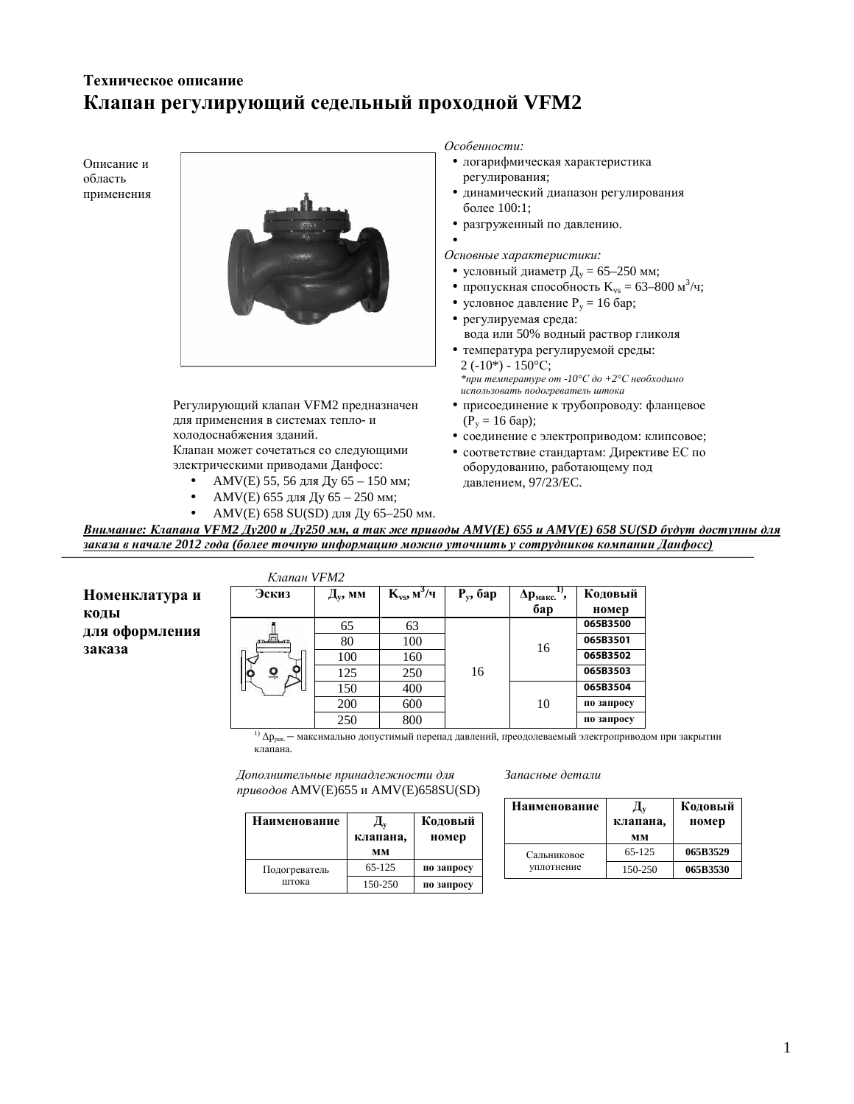# **Техническое описание Клапан регулирующий седельный проходной VFM2**



**Наименование** 

Подогреватель

• AMV(E) 658 SU(SD) для Ду 65-250 мм.

Внимание: Клапана VFM2 Ду200 и Ду250 мм, а так же приводы AMV(E) 655 и AMV(E) 658 SU(SD будут доступны для заказа в начале 2012 года (более точную информацию можно уточнить у сотрудников компании Данфосс)

Номенклатура и **КОДЫ** для оформления заказа

| Клапан VFM2 |                                  |                              |             |                            |            |
|-------------|----------------------------------|------------------------------|-------------|----------------------------|------------|
| Эскиз       | $\mathbf{\Pi}_{\mathbf{y}}$ , мм | $K_{vs}$ , м <sup>3</sup> /ч | $P_v$ , бар | $\Delta p_{\text{make}}$ . | Кодовый    |
|             |                                  |                              |             | бар                        | номер      |
|             | 65                               | 63                           |             | 16                         | 065B3500   |
|             | 80                               | 100                          |             |                            | 065B3501   |
|             | 100                              | 160                          |             |                            | 065B3502   |
|             | 125                              | 250                          | 16          |                            | 065B3503   |
|             | 150                              | 400                          |             | 10                         | 065B3504   |
|             | 200                              | 600                          |             |                            | по запросу |
|             | 250                              | 800                          |             |                            | по запросу |

**Кодовый** номер

**0 3anpocy** 

**0 3**anpocy

 $^{1)}$   $\Delta p_{\rm{pex.}}$  — максимально допустимый перепад давлений, преодолеваемый электроприводом при закрытии клапана.

 $\bar{A}$ ополнительные принадлежности для приводов AMV(E)655 и AMV(E)658SU(SD)

штока 150-250

 $\mathbf{\Pi}_{\mathbf{v}}$  **,**  $\bf{MM}$ 

 65-125 

| Запасные детали |  |
|-----------------|--|
|-----------------|--|

| Наименование | клапана,<br>MM | Кодовый<br>номер |
|--------------|----------------|------------------|
| Сальниковое  | 65-125         | 065B3529         |
| уплотнение   | 150-250        | 065B3530         |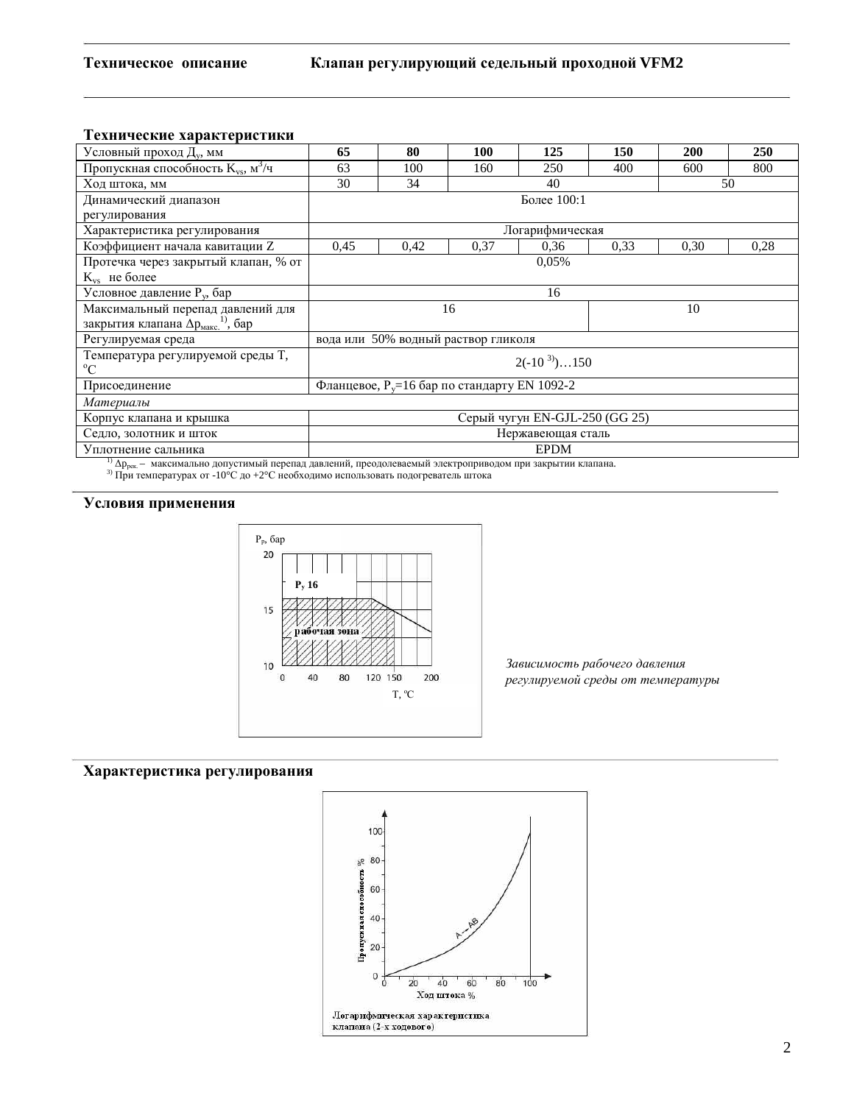### Технические характеристики

| Условный проход Д <sub>у</sub> , мм                                                                       | 65                                               | 80   | 100  | 125         | 150  | 200  | <b>250</b> |
|-----------------------------------------------------------------------------------------------------------|--------------------------------------------------|------|------|-------------|------|------|------------|
| Пропускная способность $K_{vs}$ , $M^3/q$                                                                 | 63                                               | 100  | 160  | 250         | 400  | 600  | 800        |
| Ход штока, мм                                                                                             | 30<br>34<br>40                                   |      |      |             |      |      | 50         |
| Динамический диапазон                                                                                     | Более 100:1                                      |      |      |             |      |      |            |
| регулирования                                                                                             |                                                  |      |      |             |      |      |            |
| Характеристика регулирования                                                                              | Логарифмическая                                  |      |      |             |      |      |            |
| Коэффициент начала кавитации Z                                                                            | 0,45                                             | 0,42 | 0.37 | 0.36        | 0,33 | 0.30 | 0.28       |
| Протечка через закрытый клапан, % от                                                                      | 0,05%                                            |      |      |             |      |      |            |
| $K_{vs}$ не более                                                                                         |                                                  |      |      |             |      |      |            |
| Условное давление Р <sub>у</sub> , бар                                                                    | 16                                               |      |      |             |      |      |            |
| Максимальный перепад давлений для                                                                         | 16                                               |      |      |             |      | 10   |            |
| закрытия клапана $\Delta p_{\text{max}}^{(1)}$ , бар                                                      |                                                  |      |      |             |      |      |            |
| Регулируемая среда                                                                                        | вода или 50% водный раствор гликоля              |      |      |             |      |      |            |
| Температура регулируемой среды Т,<br>$\rm ^{o}C$                                                          | $2(-10^{3})150$                                  |      |      |             |      |      |            |
| Присоединение                                                                                             | Фланцевое, $P_v = 16$ бар по стандарту EN 1092-2 |      |      |             |      |      |            |
| Материалы                                                                                                 |                                                  |      |      |             |      |      |            |
| Корпус клапана и крышка                                                                                   | Серый чугун EN-GJL-250 (GG 25)                   |      |      |             |      |      |            |
| Седло, золотник и шток                                                                                    | Нержавеющая сталь                                |      |      |             |      |      |            |
| Уплотнение сальника                                                                                       |                                                  |      |      | <b>EPDM</b> |      |      |            |
| $^{11}$ Ap максимали по лопустими ий перепал дарлений преодолераемий электроприродом при закритии клапана |                                                  |      |      |             |      |      |            |

3) При температурах от -10°С до +2°С необходимо использовать подогреватель штока

## Условия применения



Зависимость рабочего давления регулируемой среды от температуры

### Характеристика регулирования

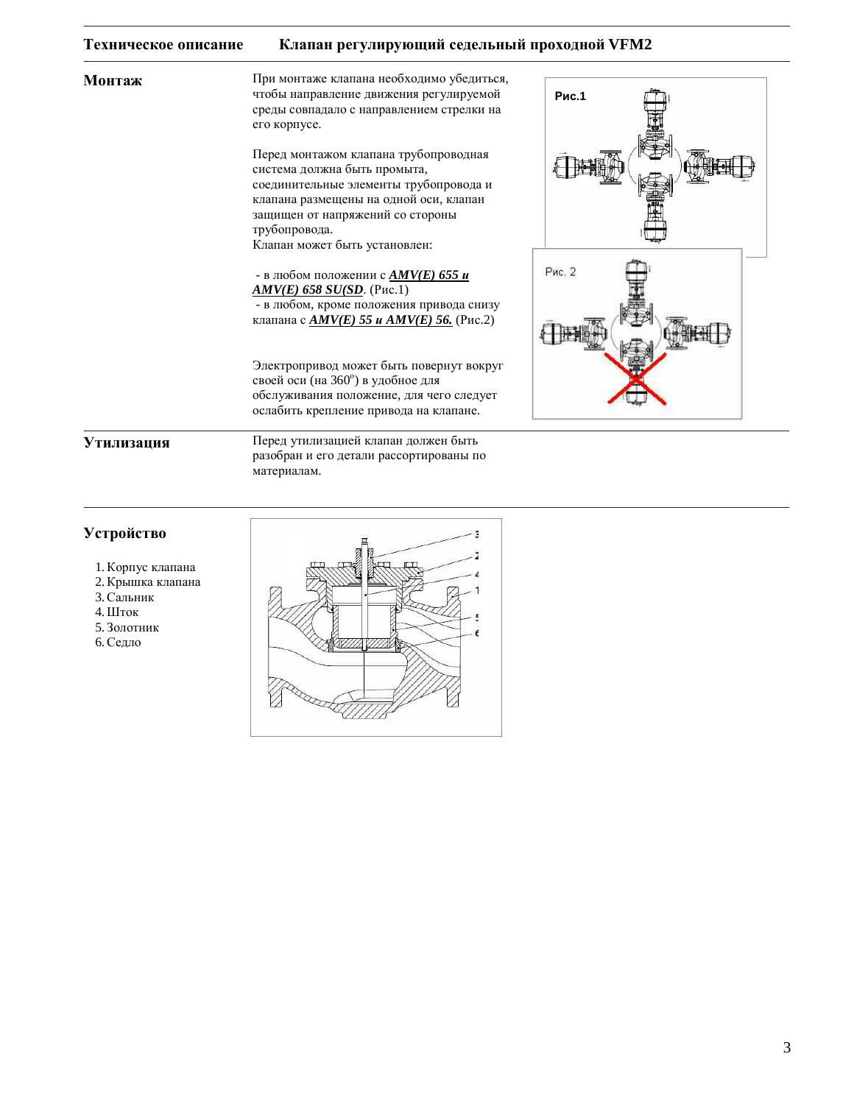#### Клапан регулирующий седельный проходной VFM2 Техническое описание

Монтаж

При монтаже клапана необходимо убедиться, чтобы направление движения регулируемой среды совпадало с направлением стрелки на его корпусе.

Перед монтажом клапана трубопроводная система должна быть промыта, соединительные элементы трубопровода и клапана размещены на одной оси, клапан защищен от напряжений со стороны трубопровода. Клапан может быть установлен:

- в любом положении с **AMV(E) 655 и**  $AMV(E)$  658 SU(SD. (Puc.1) - в любом, кроме положения привода снизу клапана с  $\angle M V(E)$  55 и  $\angle M V(E)$  56. (Рис.2)

Электропривод может быть повернут вокруг своей оси (на 360°) в удобное для обслуживания положение, для чего следует ослабить крепление привода на клапане.



### Утилизация

Перед утилизацией клапан должен быть разобран и его детали рассортированы по материалам.

### Устройство

- 1. Корпус клапана
- 2. Крышка клапана
- 3. Сальник
- 4. Шток
- 5. Золотник
- 6. Седло

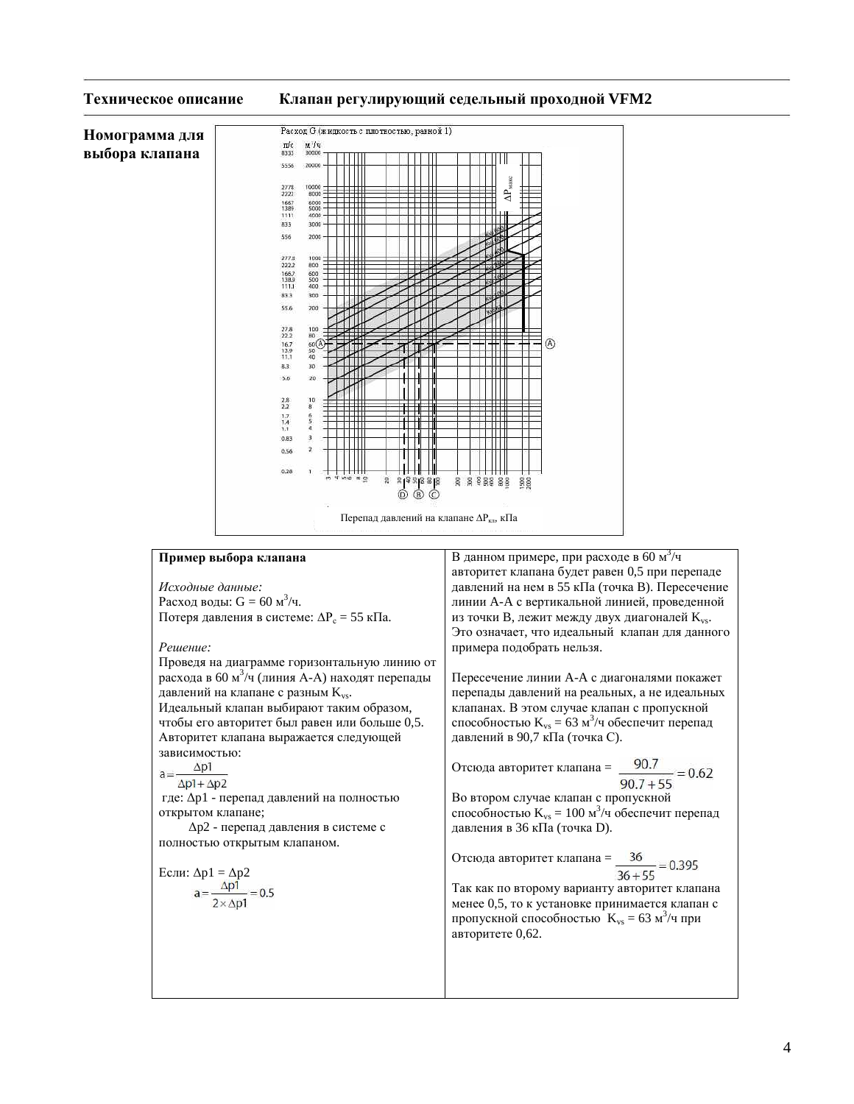

 $\overline{4}$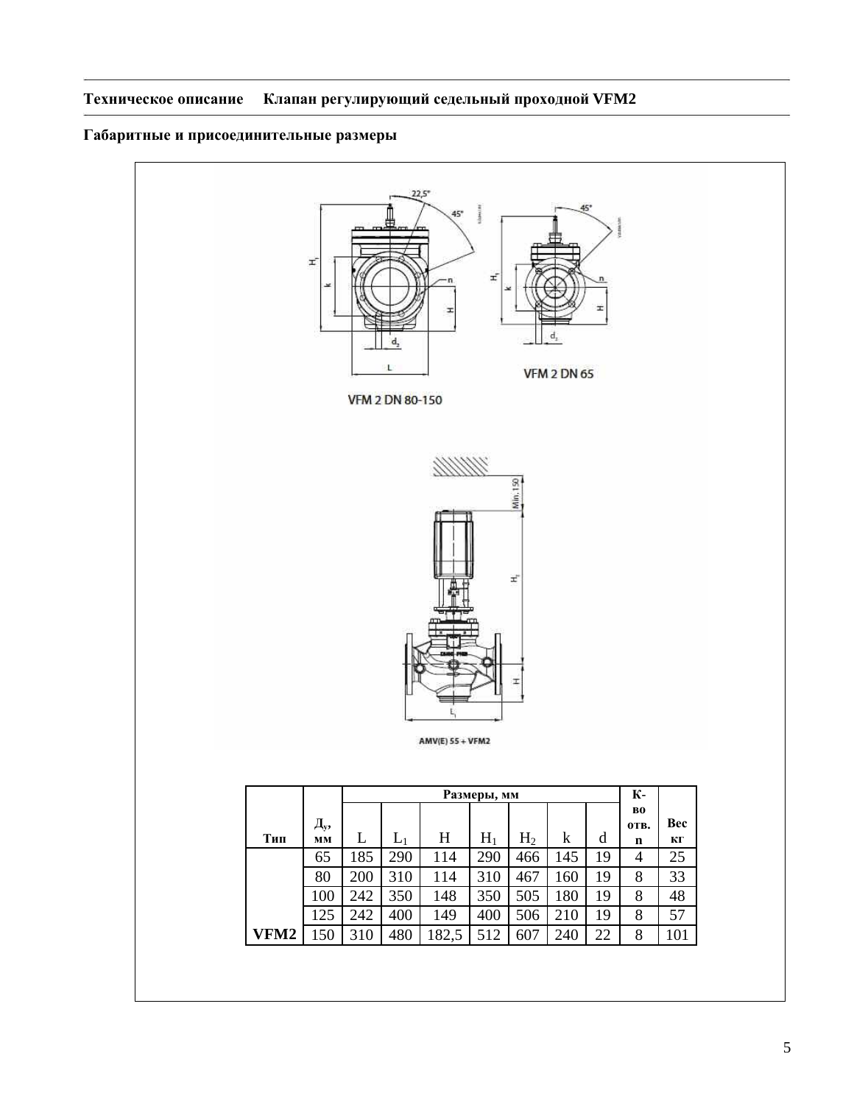# Габаритные и присоединительные размеры